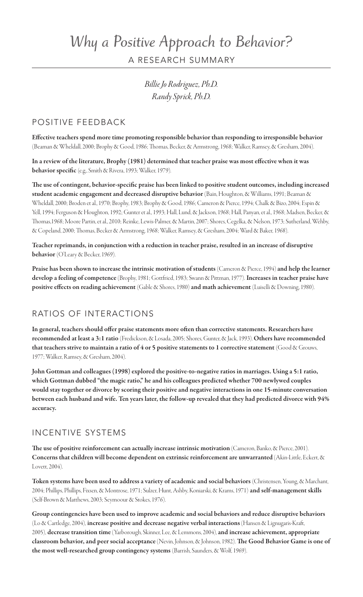## *Why a Positive Approach to Behavior?* A RESEARCH SUMMARY

*Billie Jo Rodriguez, Ph.D. Randy Sprick, Ph.D.*

## Positive Feedback

Effective teachers spend more time promoting responsible behavior than responding to irresponsible behavior (Beaman & Wheldall, 2000; Brophy & Good, 1986; Thomas, Becker, & Armstrong, 1968; Walker, Ramsey, & Gresham, 2004).

In a review of the literature, Brophy (1981) determined that teacher praise was most effective when it was behavior specific (e.g., Smith & Rivera, 1993; Walker, 1979).

The use of contingent, behavior-specific praise has been linked to positive student outcomes, including increased student academic engagement and decreased disruptive behavior (Bain, Houghton, & Williams, 1991; Beaman & Wheldall, 2000; Broden et al., 1970; Brophy, 1983; Brophy & Good, 1986; Cameron & Pierce, 1994; Chalk & Bizo, 2004; Espin & Yell, 1994; Ferguson & Houghton, 1992; Gunter et al., 1993; Hall, Lund, & Jackson, 1968; Hall, Panyan, et al., 1968; Madsen, Becker, & Thomas,1968; Moore Partin, et al., 2010; Reinke, Lewis-Palmer, & Martin, 2007; Shores, Cegelka, & Nelson, 1973; Sutherland, Wehby, & Copeland, 2000; Thomas, Becker & Armstrong, 1968; Walker, Ramsey, & Gresham, 2004; Ward & Baker, 1968).

Teacher reprimands, in conjunction with a reduction in teacher praise, resulted in an increase of disruptive behavior (O'Leary & Becker, 1969).

Praise has been shown to increase the intrinsic motivation of students (Cameron & Pierce, 1994) and help the learner develop a feeling of competence (Brophy, 1981; Gottfried, 1983; Swann & Pittman, 1977). Increases in teacher praise have positive effects on reading achievement (Gable & Shores, 1980) and math achievement (Luiselli & Downing, 1980).

## Ratios of Interactions

In general, teachers should offer praise statements more often than corrective statements. Researchers have recommended at least a 3:1 ratio (Fredickson, & Losada, 2005; Shores, Gunter, & Jack, 1993). Others have recommended that teachers strive to maintain a ratio of 4 or 5 positive statements to 1 corrective statement (Good & Grouws, 1977; Walker, Ramsey, & Gresham, 2004).

John Gottman and colleagues (1998) explored the positive-to-negative ratios in marriages. Using a 5:1 ratio, which Gottman dubbed "the magic ratio," he and his colleagues predicted whether 700 newlywed couples would stay together or divorce by scoring their positive and negative interactions in one 15-minute conversation between each husband and wife. Ten years later, the follow-up revealed that they had predicted divorce with 94% accuracy.

## Incentive Systems

The use of positive reinforcement can actually increase intrinsic motivation (Cameron, Banko, & Pierce, 2001). Concerns that children will become dependent on extrinsic reinforcement are unwarranted (Akin-Little, Eckert, & Lovett, 2004).

Token systems have been used to address a variety of academic and social behaviors (Christensen, Young, & Marchant, 2004; Phillips, Phillips, Fixsen, & Montrose, 1971; Sulzer, Hunt, Ashby, Koniarski, & Krams, 1971) and self-management skills (Self-Brown & Matthews, 2003; Seymoour & Stokes, 1976).

Group contingencies have been used to improve academic and social behaviors and reduce disruptive behaviors (Lo & Cartledge, 2004), increase positive and decrease negative verbal interactions (Hansen & Lignugaris-Kraft, 2005), decrease transition time (Yarborough, Skinner, Lee, & Lemmons, 2004), and increase achievement, appropriate classroom behavior, and peer social acceptance (Nevin, Johnson, & Johnson, 1982). The Good Behavior Game is one of the most well-researched group contingency systems (Barrish, Saunders, & Wolf, 1969).